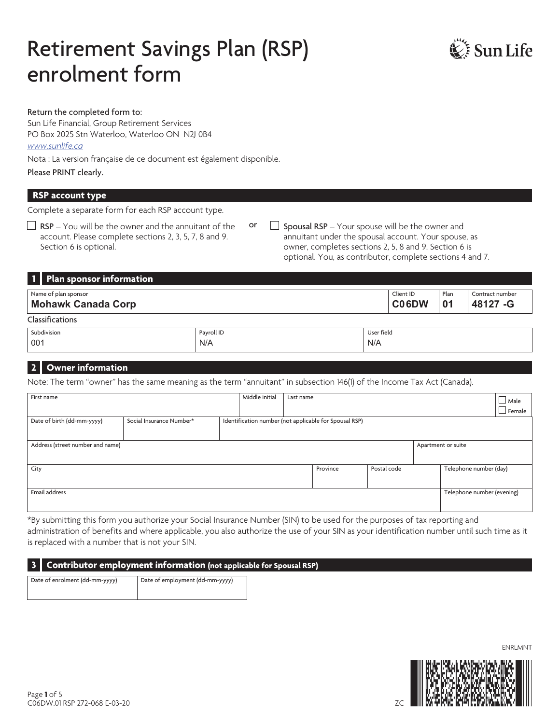# Retirement Savings Plan (RSP) enrolment form



#### Return the completed form to:

Sun Life Financial, Group Retirement Services PO Box 2025 Stn Waterloo, Waterloo ON N2J 0B4 *www.sunlife.ca* 

Nota : La version française de ce document est également disponible.

Please PRINT clearly.

#### **RSP account type**

Complete a separate form for each RSP account type.

- $\Box$  RSP You will be the owner and the annuitant of the account. Please complete sections 2, 3, 5, 7, 8 and 9. Section 6 is optional.
- or  $\Box$  Spousal RSP Your spouse will be the owner and annuitant under the spousal account. Your spouse, as owner, completes sections 2, 5, 8 and 9. Section 6 is optional. You, as contributor, complete sections 4 and 7.

N/A

|                        | 1   Plan sponsor information               |  |  |                    |            |                              |  |  |
|------------------------|--------------------------------------------|--|--|--------------------|------------|------------------------------|--|--|
|                        | Name of plan sponsor<br>Mohawk Canada Corp |  |  | Client ID<br>C06DW | Plan<br>01 | Contract number<br>48127 - G |  |  |
| <b>Classifications</b> |                                            |  |  |                    |            |                              |  |  |
|                        | Subdivision<br>User field<br>Payroll ID    |  |  |                    |            |                              |  |  |

#### **2 Owner information**

001

Note: The term "owner" has the same meaning as the term "annuitant" in subsection 146(1) of the Income Tax Act (Canada).

N/A

| First name                       |                          | Middle initial | Last name |                                                        |             |                            | $\Box$ Male   |
|----------------------------------|--------------------------|----------------|-----------|--------------------------------------------------------|-------------|----------------------------|---------------|
|                                  |                          |                |           |                                                        |             |                            |               |
|                                  |                          |                |           |                                                        |             |                            | $\Box$ Female |
| Date of birth (dd-mm-yyyy)       | Social Insurance Number* |                |           | Identification number (not applicable for Spousal RSP) |             |                            |               |
|                                  |                          |                |           |                                                        |             |                            |               |
|                                  |                          |                |           |                                                        |             |                            |               |
| Address (street number and name) |                          |                |           |                                                        |             | Apartment or suite         |               |
|                                  |                          |                |           |                                                        |             |                            |               |
|                                  |                          |                |           |                                                        |             |                            |               |
| City                             |                          |                |           | Province                                               | Postal code | Telephone number (day)     |               |
|                                  |                          |                |           |                                                        |             |                            |               |
|                                  |                          |                |           |                                                        |             |                            |               |
| Email address                    |                          |                |           |                                                        |             | Telephone number (evening) |               |
|                                  |                          |                |           |                                                        |             |                            |               |
|                                  |                          |                |           |                                                        |             |                            |               |

\*By submitting this form you authorize your Social Insurance Number (SIN) to be used for the purposes of tax reporting and administration of benefits and where applicable, you also authorize the use of your SIN as your identification number until such time as it is replaced with a number that is not your SIN.

#### **3 Contributor employment information (not applicable for Spousal RSP)**

Date of enrolment (dd-mm-yyyy) Date of employment (dd-mm-yyyy)



ENRLMNT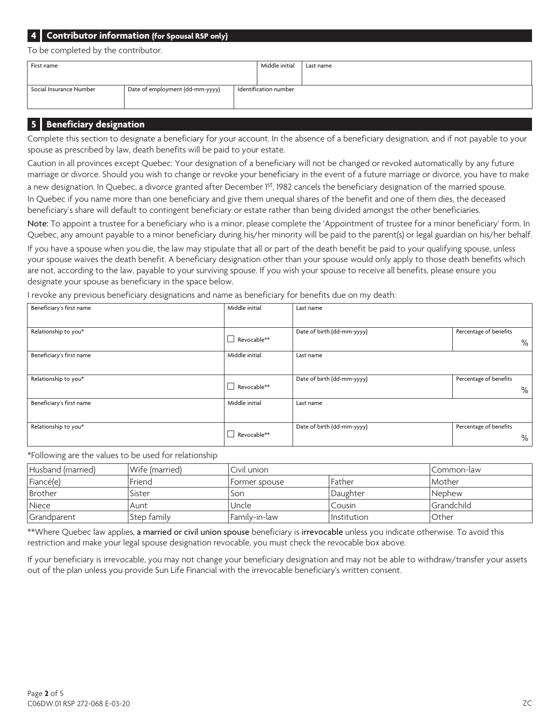## **4 Contributor information (for Spousal RSP only)**

To be completed by the contributor.

| First name                                                 |  |                       | Middle initial | Last name |
|------------------------------------------------------------|--|-----------------------|----------------|-----------|
|                                                            |  |                       |                |           |
| Date of employment (dd-mm-yyyy)<br>Social Insurance Number |  | Identification number |                |           |
|                                                            |  |                       |                |           |

#### **5 Beneficiary designation**

Complete this section to designate a beneficiary for your account. In the absence of a beneficiary designation, and if not payable to your spouse as prescribed by law, death benefits will be paid to your estate.

Caution in all provinces except Quebec: Your designation of a beneficiary will not be changed or revoked automatically by any future marriage or divorce. Should you wish to change or revoke your beneficiary in the event of a future marriage or divorce, you have to make a new designation. In Quebec, a divorce granted after December 1st, 1982 cancels the beneficiary designation of the married spouse. In Quebec if you name more than one beneficiary and give them unequal shares of the benefit and one of them dies, the deceased beneficiary's share will default to contingent beneficiary or estate rather than being divided amongst the other beneficiaries.

Note: To appoint a trustee for a beneficiary who is a minor, please complete the 'Appointment of trustee for a minor beneficiary' form. In Quebec, any amount payable to a minor beneficiary during his/her minority will be paid to the parent(s) or legal guardian on his/her behalf.

If you have a spouse when you die, the law may stipulate that all or part of the death benefit be paid to your qualifying spouse, unless your spouse waives the death benefit. A beneficiary designation other than your spouse would only apply to those death benefits which are not, according to the law, payable to your surviving spouse. If you wish your spouse to receive all benefits, please ensure you designate your spouse as beneficiary in the space below.

I revoke any previous beneficiary designations and name as beneficiary for benefits due on my death:

| Beneficiary's first name | Middle initial | Last name                  |                             |
|--------------------------|----------------|----------------------------|-----------------------------|
| Relationship to you*     | Revocable**    | Date of birth (dd-mm-yyyy) | Percentage of benefits<br>% |
| Beneficiary's first name | Middle initial | Last name                  |                             |
| Relationship to you*     | Revocable**    | Date of birth (dd-mm-yyyy) | Percentage of benefits<br>% |
| Beneficiary's first name | Middle initial | Last name                  |                             |
| Relationship to you*     | Revocable**    | Date of birth (dd-mm-yyyy) | Percentage of benefits<br>% |

\*Following are the values to be used for relationship

| Husband (married) | Wife (married) | Civil union   |             | I Common-law          |
|-------------------|----------------|---------------|-------------|-----------------------|
| Fiancé(e)         | Friend         | Former spouse | Father      | l Mother              |
| Brother           | Sister         | Son           | Daughter    | <i><b>INephew</b></i> |
| Niece             | Aunt           | Uncle         | Cousin      | l Grandchild          |
| Grandparent       | Step family    | Familv-in-law | Institution | ı Other               |

\*\*Where Quebec law applies, a married or civil union spouse beneficiary is irrevocable unless you indicate otherwise. To avoid this restriction and make your legal spouse designation revocable, you must check the revocable box above.

If your beneficiary is irrevocable, you may not change your beneficiary designation and may not be able to withdraw/transfer your assets out of the plan unless you provide Sun Life Financial with the irrevocable beneficiary's written consent.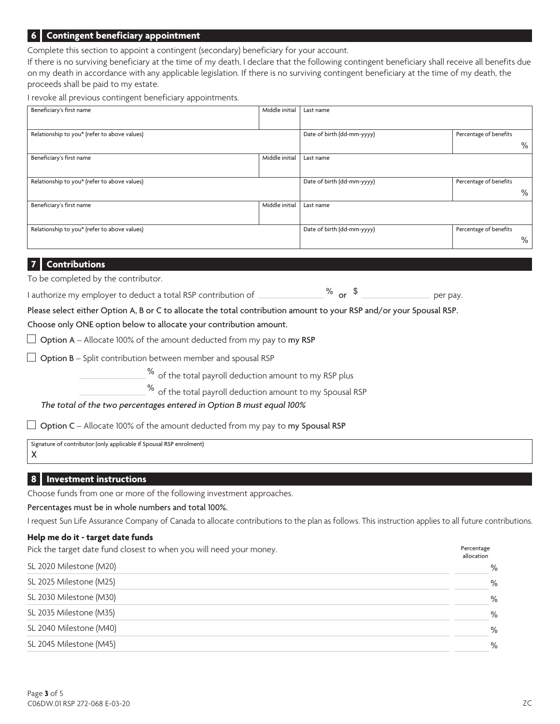#### **6 Contingent beneficiary appointment**

Complete this section to appoint a contingent (secondary) beneficiary for your account.

If there is no surviving beneficiary at the time of my death, I declare that the following contingent beneficiary shall receive all benefits due on my death in accordance with any applicable legislation. If there is no surviving contingent beneficiary at the time of my death, the proceeds shall be paid to my estate.

I revoke all previous contingent beneficiary appointments.

| Beneficiary's first name                     | Middle initial | Last name                  |                        |
|----------------------------------------------|----------------|----------------------------|------------------------|
|                                              |                |                            |                        |
| Relationship to you* (refer to above values) |                | Date of birth (dd-mm-yyyy) | Percentage of benefits |
|                                              |                |                            | $\%$                   |
| Beneficiary's first name                     | Middle initial | Last name                  |                        |
|                                              |                |                            |                        |
| Relationship to you* (refer to above values) |                | Date of birth (dd-mm-yyyy) | Percentage of benefits |
|                                              |                |                            | $\%$                   |
| Beneficiary's first name                     | Middle initial | Last name                  |                        |
|                                              |                |                            |                        |
| Relationship to you* (refer to above values) |                | Date of birth (dd-mm-yyyy) | Percentage of benefits |
|                                              |                |                            | %                      |

#### **7 Contributions**

To be completed by the contributor.

I authorize my employer to deduct a total RSP contribution of  $\sim$   $\%$  or  $\frac{1}{2}$  or  $\frac{1}{2}$ 

Please select either Option A, B or C to allocate the total contribution amount to your RSP and/or your Spousal RSP.

#### Choose only ONE option below to allocate your contribution amount.

 $\Box$  Option A – Allocate 100% of the amount deducted from my pay to my RSP

 $\Box$  Option B – Split contribution between member and spousal RSP

 $\%$  of the total payroll deduction amount to my RSP plus

% of the total payroll deduction amount to my Spousal RSP

 *The total of the two percentages entered in Option B must equal 100%*

 $\Box$  Option C – Allocate 100% of the amount deducted from my pay to my Spousal RSP

Signature of contributor (only applicable if Spousal RSP enrolment) X

#### **8 Investment instructions**

Choose funds from one or more of the following investment approaches.

Percentages must be in whole numbers and total 100%.

I request Sun Life Assurance Company of Canada to allocate contributions to the plan as follows. This instruction applies to all future contributions.

#### **Help me do it - target date funds**

Pick the target date fund closest to when you will need your money. The example of the target date fund closest to when you will need your money.

|                         | allocation |
|-------------------------|------------|
| SL 2020 Milestone (M20) | $\%$       |
| SL 2025 Milestone (M25) | $\%$       |
| SL 2030 Milestone (M30) | $\%$       |
| SL 2035 Milestone (M35) | $\%$       |
| SL 2040 Milestone (M40) | $\%$       |
| SL 2045 Milestone (M45) | $\%$       |
|                         |            |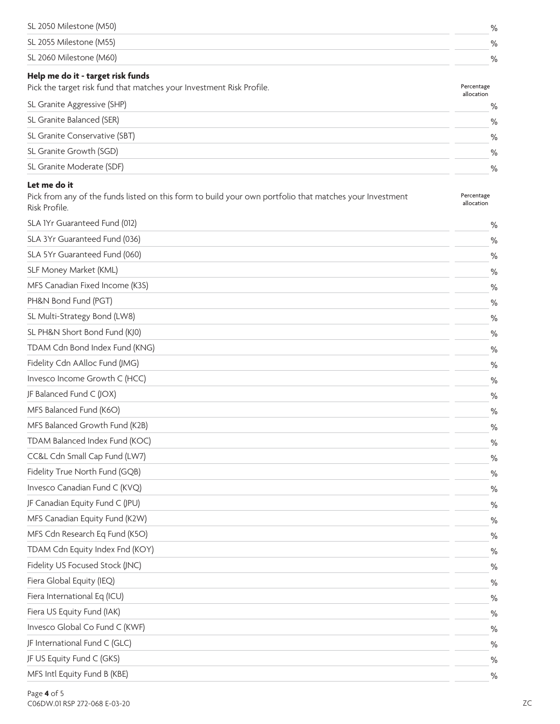| $\frac{0}{0}$ |
|---------------|
| $\frac{0}{0}$ |
| $\frac{0}{0}$ |
|               |

| Pick the target risk fund that matches your Investment Risk Profile. |               |
|----------------------------------------------------------------------|---------------|
| SL Granite Aggressive (SHP)                                          | $\frac{0}{0}$ |
| SL Granite Balanced (SER)                                            | $\frac{0}{0}$ |
| SL Granite Conservative (SBT)                                        | $\frac{0}{0}$ |
| SL Granite Growth (SGD)                                              | $\frac{0}{0}$ |
| SL Granite Moderate (SDF)                                            | $\frac{0}{0}$ |

#### **Let me do it**

| Pick from any of the funds listed on this form to build your own portfolio that matches your Investment | Percentage |
|---------------------------------------------------------------------------------------------------------|------------|
| Risk Profile.                                                                                           | allocation |

| SLA IYr Guaranteed Fund (012)   | $\%$          |
|---------------------------------|---------------|
| SLA 3Yr Guaranteed Fund (036)   | $\%$          |
| SLA 5Yr Guaranteed Fund (060)   | $\%$          |
| SLF Money Market (KML)          | $\%$          |
| MFS Canadian Fixed Income (K3S) | $\%$          |
| PH&N Bond Fund (PGT)            | $\frac{0}{0}$ |
| SL Multi-Strategy Bond (LW8)    | $\%$          |
| SL PH&N Short Bond Fund (KJ0)   | $\%$          |
| TDAM Cdn Bond Index Fund (KNG)  | $\%$          |
| Fidelity Cdn AAlloc Fund (JMG)  | $\%$          |
| Invesco Income Growth C (HCC)   | $\frac{0}{0}$ |
| JF Balanced Fund C (JOX)        | $\%$          |
| MFS Balanced Fund (K6O)         | $\%$          |
| MFS Balanced Growth Fund (K2B)  | $\%$          |
| TDAM Balanced Index Fund (KOC)  | $\frac{0}{0}$ |
| CC&L Cdn Small Cap Fund (LW7)   | $\%$          |
| Fidelity True North Fund (GQB)  | $\frac{0}{0}$ |
| Invesco Canadian Fund C (KVQ)   | $\%$          |
| JF Canadian Equity Fund C (JPU) | $\frac{0}{0}$ |
| MFS Canadian Equity Fund (K2W)  | $\%$          |
| MFS Cdn Research Eq Fund (K5O)  | $\frac{0}{0}$ |
| TDAM Cdn Equity Index Fnd (KOY) | $\frac{0}{0}$ |
| Fidelity US Focused Stock (JNC) | $\frac{0}{0}$ |
| Fiera Global Equity (IEQ)       | $\frac{0}{0}$ |
| Fiera International Eq (ICU)    | $\%$          |
| Fiera US Equity Fund (IAK)      | $\frac{0}{0}$ |
| Invesco Global Co Fund C (KWF)  | $\frac{0}{0}$ |
| JF International Fund C (GLC)   | $\frac{0}{0}$ |
| JF US Equity Fund C (GKS)       | $\frac{0}{0}$ |
| MFS Intl Equity Fund B (KBE)    | $\frac{0}{0}$ |
|                                 |               |